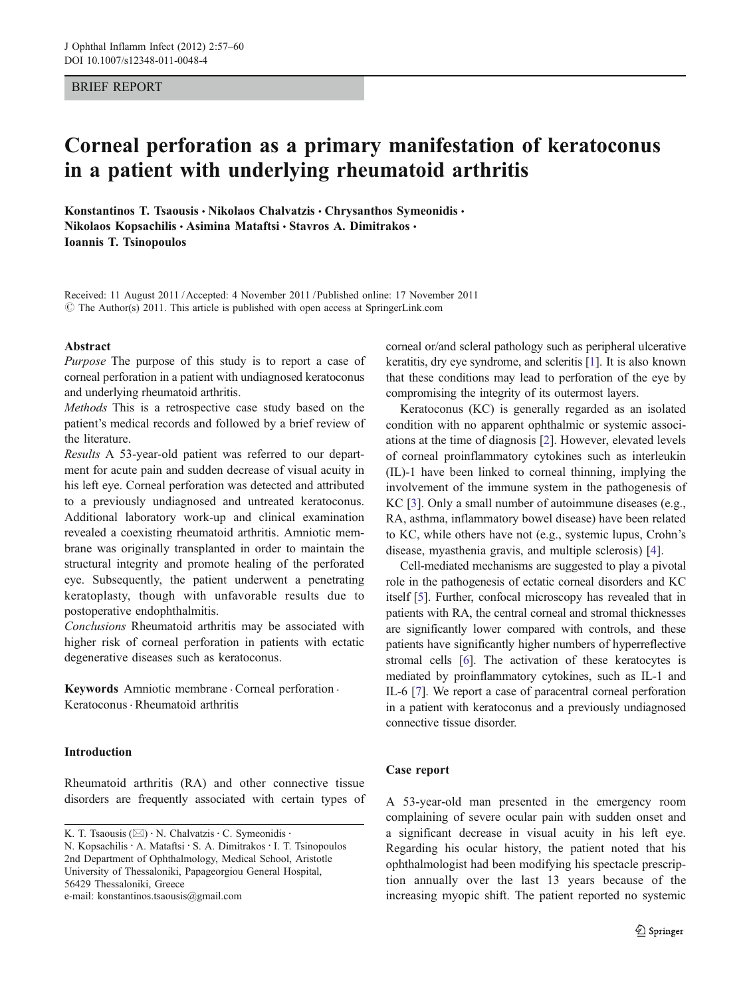## BRIEF REPORT

# Corneal perforation as a primary manifestation of keratoconus in a patient with underlying rheumatoid arthritis

Konstantinos T. Tsaousis · Nikolaos Chalvatzis · Chrysanthos Symeonidis · Nikolaos Kopsachilis · Asimina Mataftsi · Stavros A. Dimitrakos · Ioannis T. Tsinopoulos

Received: 11 August 2011 /Accepted: 4 November 2011 / Published online: 17 November 2011  $\odot$  The Author(s) 2011. This article is published with open access at SpringerLink.com

## Abstract

Purpose The purpose of this study is to report a case of corneal perforation in a patient with undiagnosed keratoconus and underlying rheumatoid arthritis.

Methods This is a retrospective case study based on the patient's medical records and followed by a brief review of the literature.

Results A 53-year-old patient was referred to our department for acute pain and sudden decrease of visual acuity in his left eye. Corneal perforation was detected and attributed to a previously undiagnosed and untreated keratoconus. Additional laboratory work-up and clinical examination revealed a coexisting rheumatoid arthritis. Amniotic membrane was originally transplanted in order to maintain the structural integrity and promote healing of the perforated eye. Subsequently, the patient underwent a penetrating keratoplasty, though with unfavorable results due to postoperative endophthalmitis.

Conclusions Rheumatoid arthritis may be associated with higher risk of corneal perforation in patients with ectatic degenerative diseases such as keratoconus.

Keywords Amniotic membrane . Corneal perforation . Keratoconus. Rheumatoid arthritis

# Introduction

Rheumatoid arthritis (RA) and other connective tissue disorders are frequently associated with certain types of corneal or/and scleral pathology such as peripheral ulcerative keratitis, dry eye syndrome, and scleritis [\[1](#page-2-0)]. It is also known that these conditions may lead to perforation of the eye by compromising the integrity of its outermost layers.

Keratoconus (KC) is generally regarded as an isolated condition with no apparent ophthalmic or systemic associations at the time of diagnosis [\[2](#page-2-0)]. However, elevated levels of corneal proinflammatory cytokines such as interleukin (IL)-1 have been linked to corneal thinning, implying the involvement of the immune system in the pathogenesis of KC [[3\]](#page-2-0). Only a small number of autoimmune diseases (e.g., RA, asthma, inflammatory bowel disease) have been related to KC, while others have not (e.g., systemic lupus, Crohn's disease, myasthenia gravis, and multiple sclerosis) [\[4](#page-2-0)].

Cell-mediated mechanisms are suggested to play a pivotal role in the pathogenesis of ectatic corneal disorders and KC itself [\[5](#page-2-0)]. Further, confocal microscopy has revealed that in patients with RA, the central corneal and stromal thicknesses are significantly lower compared with controls, and these patients have significantly higher numbers of hyperreflective stromal cells [\[6](#page-2-0)]. The activation of these keratocytes is mediated by proinflammatory cytokines, such as IL-1 and IL-6 [[7](#page-2-0)]. We report a case of paracentral corneal perforation in a patient with keratoconus and a previously undiagnosed connective tissue disorder.

#### Case report

A 53-year-old man presented in the emergency room complaining of severe ocular pain with sudden onset and a significant decrease in visual acuity in his left eye. Regarding his ocular history, the patient noted that his ophthalmologist had been modifying his spectacle prescription annually over the last 13 years because of the increasing myopic shift. The patient reported no systemic

K. T. Tsaousis ( $\boxtimes$ ) · N. Chalvatzis · C. Symeonidis ·

N. Kopsachilis · A. Mataftsi · S. A. Dimitrakos · I. T. Tsinopoulos 2nd Department of Ophthalmology, Medical School, Aristotle University of Thessaloniki, Papageorgiou General Hospital, 56429 Thessaloniki, Greece e-mail: konstantinos.tsaousis@gmail.com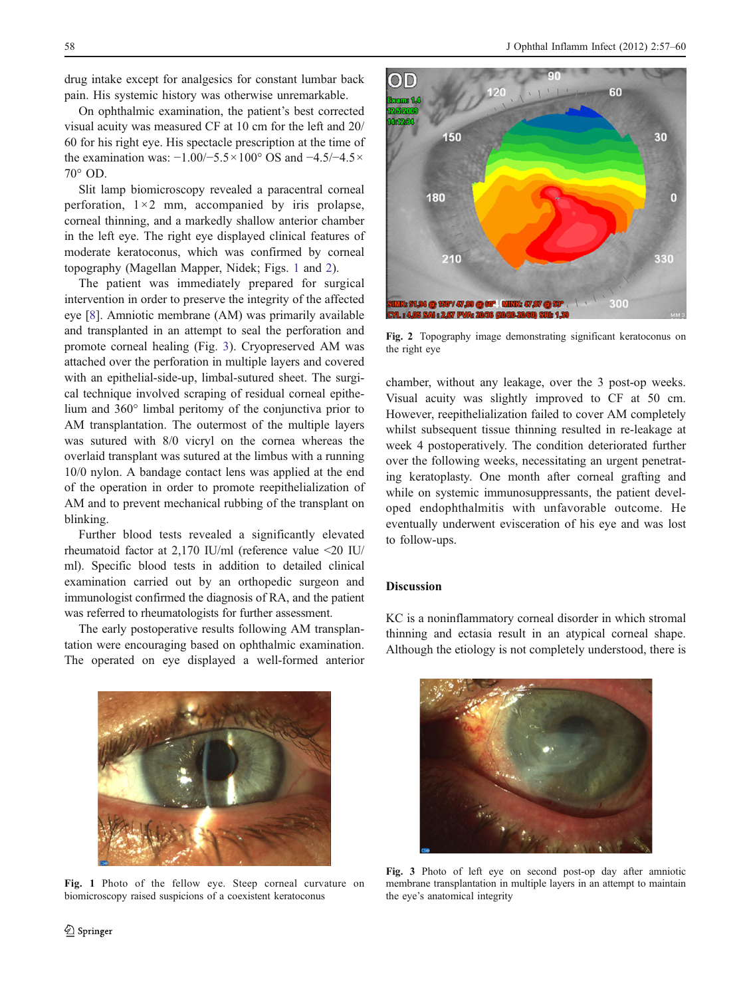drug intake except for analgesics for constant lumbar back pain. His systemic history was otherwise unremarkable.

On ophthalmic examination, the patient's best corrected visual acuity was measured CF at 10 cm for the left and 20/ 60 for his right eye. His spectacle prescription at the time of the examination was:  $-1.00$ / $-5.5 \times 100$ ° OS and  $-4.5$ / $-4.5 \times$ 70° OD.

Slit lamp biomicroscopy revealed a paracentral corneal perforation,  $1 \times 2$  mm, accompanied by iris prolapse, corneal thinning, and a markedly shallow anterior chamber in the left eye. The right eye displayed clinical features of moderate keratoconus, which was confirmed by corneal topography (Magellan Mapper, Nidek; Figs. 1 and 2).

The patient was immediately prepared for surgical intervention in order to preserve the integrity of the affected eye [\[8](#page-2-0)]. Amniotic membrane (AM) was primarily available and transplanted in an attempt to seal the perforation and promote corneal healing (Fig. 3). Cryopreserved AM was attached over the perforation in multiple layers and covered with an epithelial-side-up, limbal-sutured sheet. The surgical technique involved scraping of residual corneal epithelium and 360° limbal peritomy of the conjunctiva prior to AM transplantation. The outermost of the multiple layers was sutured with 8/0 vicryl on the cornea whereas the overlaid transplant was sutured at the limbus with a running 10/0 nylon. A bandage contact lens was applied at the end of the operation in order to promote reepithelialization of AM and to prevent mechanical rubbing of the transplant on blinking.

Further blood tests revealed a significantly elevated rheumatoid factor at 2,170 IU/ml (reference value <20 IU/ ml). Specific blood tests in addition to detailed clinical examination carried out by an orthopedic surgeon and immunologist confirmed the diagnosis of RA, and the patient was referred to rheumatologists for further assessment.

The early postoperative results following AM transplantation were encouraging based on ophthalmic examination. The operated on eye displayed a well-formed anterior





Fig. 2 Topography image demonstrating significant keratoconus on the right eye

chamber, without any leakage, over the 3 post-op weeks. Visual acuity was slightly improved to CF at 50 cm. However, reepithelialization failed to cover AM completely whilst subsequent tissue thinning resulted in re-leakage at week 4 postoperatively. The condition deteriorated further over the following weeks, necessitating an urgent penetrating keratoplasty. One month after corneal grafting and while on systemic immunosuppressants, the patient developed endophthalmitis with unfavorable outcome. He eventually underwent evisceration of his eye and was lost to follow-ups.

# Discussion

KC is a noninflammatory corneal disorder in which stromal thinning and ectasia result in an atypical corneal shape. Although the etiology is not completely understood, there is



Fig. 3 Photo of left eye on second post-op day after amniotic membrane transplantation in multiple layers in an attempt to maintain the eye's anatomical integrity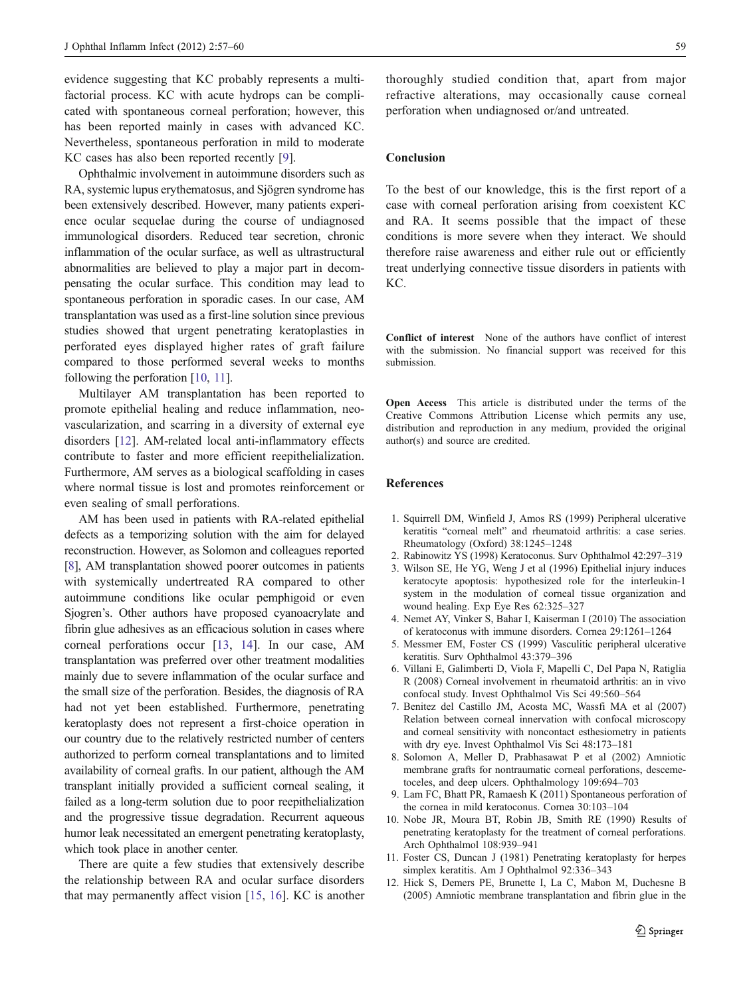<span id="page-2-0"></span>evidence suggesting that KC probably represents a multifactorial process. KC with acute hydrops can be complicated with spontaneous corneal perforation; however, this has been reported mainly in cases with advanced KC. Nevertheless, spontaneous perforation in mild to moderate KC cases has also been reported recently [9].

Ophthalmic involvement in autoimmune disorders such as RA, systemic lupus erythematosus, and Sjögren syndrome has been extensively described. However, many patients experience ocular sequelae during the course of undiagnosed immunological disorders. Reduced tear secretion, chronic inflammation of the ocular surface, as well as ultrastructural abnormalities are believed to play a major part in decompensating the ocular surface. This condition may lead to spontaneous perforation in sporadic cases. In our case, AM transplantation was used as a first-line solution since previous studies showed that urgent penetrating keratoplasties in perforated eyes displayed higher rates of graft failure compared to those performed several weeks to months following the perforation [10, 11].

Multilayer AM transplantation has been reported to promote epithelial healing and reduce inflammation, neovascularization, and scarring in a diversity of external eye disorders [12]. AM-related local anti-inflammatory effects contribute to faster and more efficient reepithelialization. Furthermore, AM serves as a biological scaffolding in cases where normal tissue is lost and promotes reinforcement or even sealing of small perforations.

AM has been used in patients with RA-related epithelial defects as a temporizing solution with the aim for delayed reconstruction. However, as Solomon and colleagues reported [8], AM transplantation showed poorer outcomes in patients with systemically undertreated RA compared to other autoimmune conditions like ocular pemphigoid or even Sjogren's. Other authors have proposed cyanoacrylate and fibrin glue adhesives as an efficacious solution in cases where corneal perforations occur [[13,](#page-3-0) [14\]](#page-3-0). In our case, AM transplantation was preferred over other treatment modalities mainly due to severe inflammation of the ocular surface and the small size of the perforation. Besides, the diagnosis of RA had not yet been established. Furthermore, penetrating keratoplasty does not represent a first-choice operation in our country due to the relatively restricted number of centers authorized to perform corneal transplantations and to limited availability of corneal grafts. In our patient, although the AM transplant initially provided a sufficient corneal sealing, it failed as a long-term solution due to poor reepithelialization and the progressive tissue degradation. Recurrent aqueous humor leak necessitated an emergent penetrating keratoplasty, which took place in another center.

There are quite a few studies that extensively describe the relationship between RA and ocular surface disorders that may permanently affect vision [\[15](#page-3-0), [16\]](#page-3-0). KC is another

thoroughly studied condition that, apart from major refractive alterations, may occasionally cause corneal perforation when undiagnosed or/and untreated.

## Conclusion

To the best of our knowledge, this is the first report of a case with corneal perforation arising from coexistent KC and RA. It seems possible that the impact of these conditions is more severe when they interact. We should therefore raise awareness and either rule out or efficiently treat underlying connective tissue disorders in patients with KC.

Conflict of interest None of the authors have conflict of interest with the submission. No financial support was received for this submission.

Open Access This article is distributed under the terms of the Creative Commons Attribution License which permits any use, distribution and reproduction in any medium, provided the original author(s) and source are credited.

## References

- 1. Squirrell DM, Winfield J, Amos RS (1999) Peripheral ulcerative keratitis "corneal melt" and rheumatoid arthritis: a case series. Rheumatology (Oxford) 38:1245–1248
- 2. Rabinowitz YS (1998) Keratoconus. Surv Ophthalmol 42:297–319
- 3. Wilson SE, He YG, Weng J et al (1996) Epithelial injury induces keratocyte apoptosis: hypothesized role for the interleukin-1 system in the modulation of corneal tissue organization and wound healing. Exp Eye Res 62:325–327
- 4. Nemet AY, Vinker S, Bahar I, Kaiserman I (2010) The association of keratoconus with immune disorders. Cornea 29:1261–1264
- 5. Messmer EM, Foster CS (1999) Vasculitic peripheral ulcerative keratitis. Surv Ophthalmol 43:379–396
- 6. Villani E, Galimberti D, Viola F, Mapelli C, Del Papa N, Ratiglia R (2008) Corneal involvement in rheumatoid arthritis: an in vivo confocal study. Invest Ophthalmol Vis Sci 49:560–564
- 7. Benitez del Castillo JM, Acosta MC, Wassfi MA et al (2007) Relation between corneal innervation with confocal microscopy and corneal sensitivity with noncontact esthesiometry in patients with dry eye. Invest Ophthalmol Vis Sci 48:173–181
- 8. Solomon A, Meller D, Prabhasawat P et al (2002) Amniotic membrane grafts for nontraumatic corneal perforations, descemetoceles, and deep ulcers. Ophthalmology 109:694–703
- 9. Lam FC, Bhatt PR, Ramaesh K (2011) Spontaneous perforation of the cornea in mild keratoconus. Cornea 30:103–104
- 10. Nobe JR, Moura BT, Robin JB, Smith RE (1990) Results of penetrating keratoplasty for the treatment of corneal perforations. Arch Ophthalmol 108:939–941
- 11. Foster CS, Duncan J (1981) Penetrating keratoplasty for herpes simplex keratitis. Am J Ophthalmol 92:336–343
- 12. Hick S, Demers PE, Brunette I, La C, Mabon M, Duchesne B (2005) Amniotic membrane transplantation and fibrin glue in the